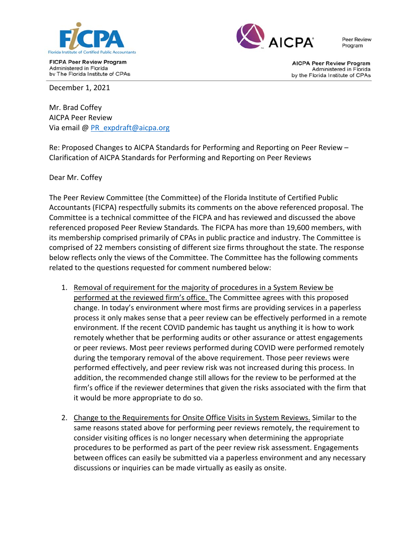

**FICPA Peer Review Program** Administered in Florida by The Florida Institute of CPAs



**Peer Review** Program

**AICPA Peer Review Program** Administered in Florida by the Florida Institute of CPAs

December 1, 2021

Mr. Brad Coffey AICPA Peer Review Via email @ PR\_expdraft@aicpa.org

Re: Proposed Changes to AICPA Standards for Performing and Reporting on Peer Review – Clarification of AICPA Standards for Performing and Reporting on Peer Reviews

Dear Mr. Coffey

The Peer Review Committee (the Committee) of the Florida Institute of Certified Public Accountants (FICPA) respectfully submits its comments on the above referenced proposal. The Committee is a technical committee of the FICPA and has reviewed and discussed the above referenced proposed Peer Review Standards*.* The FICPA has more than 19,600 members, with its membership comprised primarily of CPAs in public practice and industry. The Committee is comprised of 22 members consisting of different size firms throughout the state. The response below reflects only the views of the Committee. The Committee has the following comments related to the questions requested for comment numbered below:

- 1. Removal of requirement for the majority of procedures in a System Review be performed at the reviewed firm's office. The Committee agrees with this proposed change. In today's environment where most firms are providing services in a paperless process it only makes sense that a peer review can be effectively performed in a remote environment. If the recent COVID pandemic has taught us anything it is how to work remotely whether that be performing audits or other assurance or attest engagements or peer reviews. Most peer reviews performed during COVID were performed remotely during the temporary removal of the above requirement. Those peer reviews were performed effectively, and peer review risk was not increased during this process. In addition, the recommended change still allows for the review to be performed at the firm's office if the reviewer determines that given the risks associated with the firm that it would be more appropriate to do so.
- 2. Change to the Requirements for Onsite Office Visits in System Reviews. Similar to the same reasons stated above for performing peer reviews remotely, the requirement to consider visiting offices is no longer necessary when determining the appropriate procedures to be performed as part of the peer review risk assessment. Engagements between offices can easily be submitted via a paperless environment and any necessary discussions or inquiries can be made virtually as easily as onsite.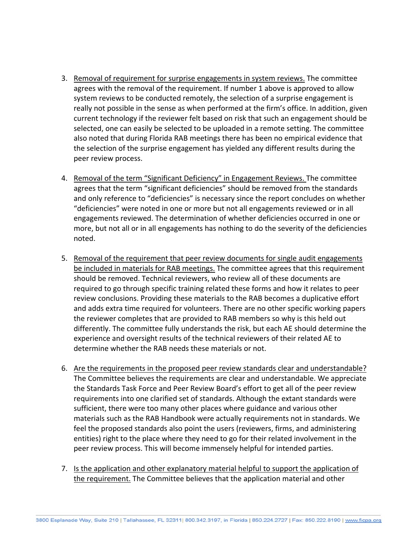- 3. Removal of requirement for surprise engagements in system reviews. The committee agrees with the removal of the requirement. If number 1 above is approved to allow system reviews to be conducted remotely, the selection of a surprise engagement is really not possible in the sense as when performed at the firm's office. In addition, given current technology if the reviewer felt based on risk that such an engagement should be selected, one can easily be selected to be uploaded in a remote setting. The committee also noted that during Florida RAB meetings there has been no empirical evidence that the selection of the surprise engagement has yielded any different results during the peer review process.
- 4. Removal of the term "Significant Deficiency" in Engagement Reviews. The committee agrees that the term "significant deficiencies" should be removed from the standards and only reference to "deficiencies" is necessary since the report concludes on whether "deficiencies" were noted in one or more but not all engagements reviewed or in all engagements reviewed. The determination of whether deficiencies occurred in one or more, but not all or in all engagements has nothing to do the severity of the deficiencies noted.
- 5. Removal of the requirement that peer review documents for single audit engagements be included in materials for RAB meetings. The committee agrees that this requirement should be removed. Technical reviewers, who review all of these documents are required to go through specific training related these forms and how it relates to peer review conclusions. Providing these materials to the RAB becomes a duplicative effort and adds extra time required for volunteers. There are no other specific working papers the reviewer completes that are provided to RAB members so why is this held out differently. The committee fully understands the risk, but each AE should determine the experience and oversight results of the technical reviewers of their related AE to determine whether the RAB needs these materials or not.
- 6. Are the requirements in the proposed peer review standards clear and understandable? The Committee believes the requirements are clear and understandable. We appreciate the Standards Task Force and Peer Review Board's effort to get all of the peer review requirements into one clarified set of standards. Although the extant standards were sufficient, there were too many other places where guidance and various other materials such as the RAB Handbook were actually requirements not in standards. We feel the proposed standards also point the users (reviewers, firms, and administering entities) right to the place where they need to go for their related involvement in the peer review process. This will become immensely helpful for intended parties.
- 7. Is the application and other explanatory material helpful to support the application of the requirement. The Committee believes that the application material and other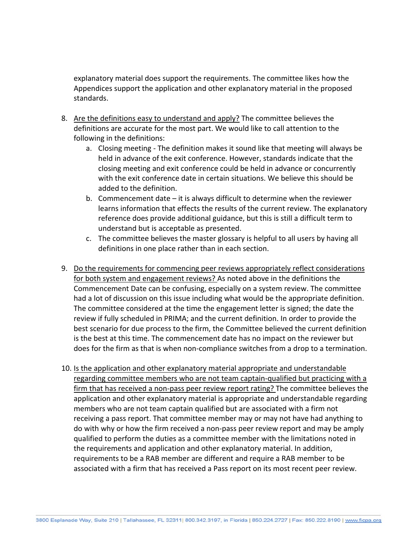explanatory material does support the requirements. The committee likes how the Appendices support the application and other explanatory material in the proposed standards.

- 8. Are the definitions easy to understand and apply? The committee believes the definitions are accurate for the most part. We would like to call attention to the following in the definitions:
	- a. Closing meeting ‐ The definition makes it sound like that meeting will always be held in advance of the exit conference. However, standards indicate that the closing meeting and exit conference could be held in advance or concurrently with the exit conference date in certain situations. We believe this should be added to the definition.
	- b. Commencement date it is always difficult to determine when the reviewer learns information that effects the results of the current review. The explanatory reference does provide additional guidance, but this is still a difficult term to understand but is acceptable as presented.
	- c. The committee believes the master glossary is helpful to all users by having all definitions in one place rather than in each section.
- 9. Do the requirements for commencing peer reviews appropriately reflect considerations for both system and engagement reviews? As noted above in the definitions the Commencement Date can be confusing, especially on a system review. The committee had a lot of discussion on this issue including what would be the appropriate definition. The committee considered at the time the engagement letter is signed; the date the review if fully scheduled in PRIMA; and the current definition. In order to provide the best scenario for due process to the firm, the Committee believed the current definition is the best at this time. The commencement date has no impact on the reviewer but does for the firm as that is when non‐compliance switches from a drop to a termination.
- 10. Is the application and other explanatory material appropriate and understandable regarding committee members who are not team captain‐qualified but practicing with a firm that has received a non‐pass peer review report rating? The committee believes the application and other explanatory material is appropriate and understandable regarding members who are not team captain qualified but are associated with a firm not receiving a pass report. That committee member may or may not have had anything to do with why or how the firm received a non‐pass peer review report and may be amply qualified to perform the duties as a committee member with the limitations noted in the requirements and application and other explanatory material. In addition, requirements to be a RAB member are different and require a RAB member to be associated with a firm that has received a Pass report on its most recent peer review.